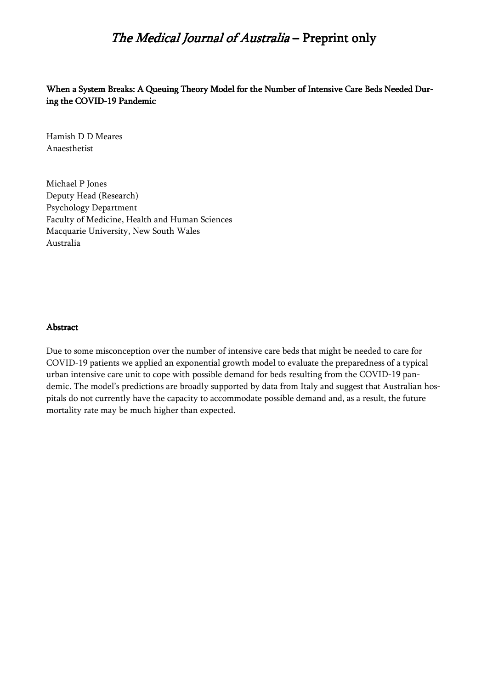When a System Breaks: A Queuing Theory Model for the Number of Intensive Care Beds Needed During the COVID-19 Pandemic

Hamish D D Meares Anaesthetist

Michael P Jones Deputy Head (Research) Psychology Department Faculty of Medicine, Health and Human Sciences Macquarie University, New South Wales Australia

#### Abstract

Due to some misconception over the number of intensive care beds that might be needed to care for COVID-19 patients we applied an exponential growth model to evaluate the preparedness of a typical urban intensive care unit to cope with possible demand for beds resulting from the COVID-19 pandemic. The model's predictions are broadly supported by data from Italy and suggest that Australian hospitals do not currently have the capacity to accommodate possible demand and, as a result, the future mortality rate may be much higher than expected.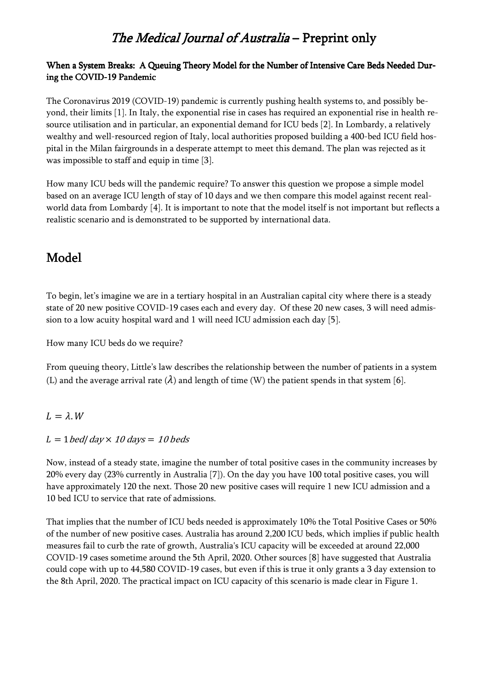#### When a System Breaks: A Queuing Theory Model for the Number of Intensive Care Beds Needed During the COVID-19 Pandemic

The Coronavirus 2019 (COVID-19) pandemic is currently pushing health systems to, and possibly beyond, their limits [1]. In Italy, the exponential rise in cases has required an exponential rise in health resource utilisation and in particular, an exponential demand for ICU beds [2]. In Lombardy, a relatively wealthy and well-resourced region of Italy, local authorities proposed building a 400-bed ICU field hospital in the Milan fairgrounds in a desperate attempt to meet this demand. The plan was rejected as it was impossible to staff and equip in time [3].

How many ICU beds will the pandemic require? To answer this question we propose a simple model based on an average ICU length of stay of 10 days and we then compare this model against recent realworld data from Lombardy [4]. It is important to note that the model itself is not important but reflects a realistic scenario and is demonstrated to be supported by international data.

### Model

To begin, let's imagine we are in a tertiary hospital in an Australian capital city where there is a steady state of 20 new positive COVID-19 cases each and every day. Of these 20 new cases, 3 will need admission to a low acuity hospital ward and 1 will need ICU admission each day [5].

How many ICU beds do we require?

From queuing theory, Little's law describes the relationship between the number of patients in a system (L) and the average arrival rate  $(\lambda)$  and length of time (W) the patient spends in that system [6].

#### $L = \lambda$ . W

#### L = 1 bed| day  $\times$  10 days = 10 beds

Now, instead of a steady state, imagine the number of total positive cases in the community increases by 20% every day (23% currently in Australia [7]). On the day you have 100 total positive cases, you will have approximately 120 the next. Those 20 new positive cases will require 1 new ICU admission and a 10 bed ICU to service that rate of admissions.

That implies that the number of ICU beds needed is approximately 10% the Total Positive Cases or 50% of the number of new positive cases. Australia has around 2,200 ICU beds, which implies if public health measures fail to curb the rate of growth, Australia's ICU capacity will be exceeded at around 22,000 COVID-19 cases sometime around the 5th April, 2020. Other sources [8] have suggested that Australia could cope with up to 44,580 COVID-19 cases, but even if this is true it only grants a 3 day extension to the 8th April, 2020. The practical impact on ICU capacity of this scenario is made clear in Figure 1.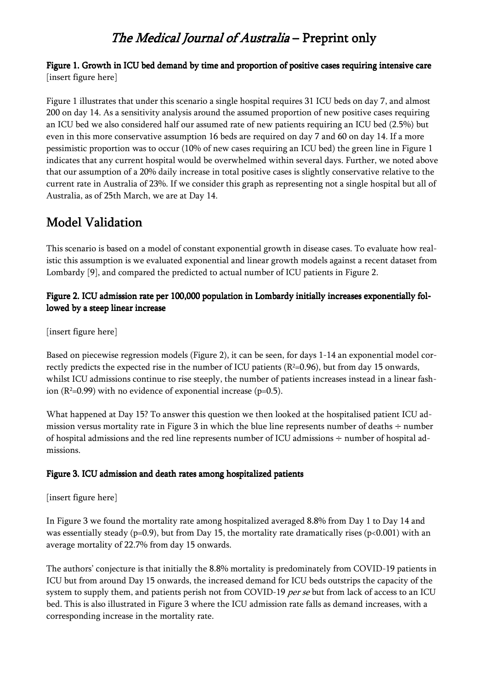#### Figure 1. Growth in ICU bed demand by time and proportion of positive cases requiring intensive care [insert figure here]

Figure 1 illustrates that under this scenario a single hospital requires 31 ICU beds on day 7, and almost 200 on day 14. As a sensitivity analysis around the assumed proportion of new positive cases requiring an ICU bed we also considered half our assumed rate of new patients requiring an ICU bed (2.5%) but even in this more conservative assumption 16 beds are required on day 7 and 60 on day 14. If a more pessimistic proportion was to occur (10% of new cases requiring an ICU bed) the green line in Figure 1 indicates that any current hospital would be overwhelmed within several days. Further, we noted above that our assumption of a 20% daily increase in total positive cases is slightly conservative relative to the current rate in Australia of 23%. If we consider this graph as representing not a single hospital but all of Australia, as of 25th March, we are at Day 14.

### Model Validation

This scenario is based on a model of constant exponential growth in disease cases. To evaluate how realistic this assumption is we evaluated exponential and linear growth models against a recent dataset from Lombardy [9], and compared the predicted to actual number of ICU patients in Figure 2.

#### Figure 2. ICU admission rate per 100,000 population in Lombardy initially increases exponentially followed by a steep linear increase

[insert figure here]

Based on piecewise regression models (Figure 2), it can be seen, for days 1-14 an exponential model correctly predicts the expected rise in the number of ICU patients  $(R<sup>2</sup>=0.96)$ , but from day 15 onwards, whilst ICU admissions continue to rise steeply, the number of patients increases instead in a linear fashion ( $R^2=0.99$ ) with no evidence of exponential increase ( $p=0.5$ ).

What happened at Day 15? To answer this question we then looked at the hospitalised patient ICU admission versus mortality rate in Figure 3 in which the blue line represents number of deaths  $\div$  number of hospital admissions and the red line represents number of ICU admissions ÷ number of hospital admissions.

#### Figure 3. ICU admission and death rates among hospitalized patients

[insert figure here]

In Figure 3 we found the mortality rate among hospitalized averaged 8.8% from Day 1 to Day 14 and was essentially steady (p=0.9), but from Day 15, the mortality rate dramatically rises (p<0.001) with an average mortality of 22.7% from day 15 onwards.

The authors' conjecture is that initially the 8.8% mortality is predominately from COVID-19 patients in ICU but from around Day 15 onwards, the increased demand for ICU beds outstrips the capacity of the system to supply them, and patients perish not from COVID-19 per se but from lack of access to an ICU bed. This is also illustrated in Figure 3 where the ICU admission rate falls as demand increases, with a corresponding increase in the mortality rate.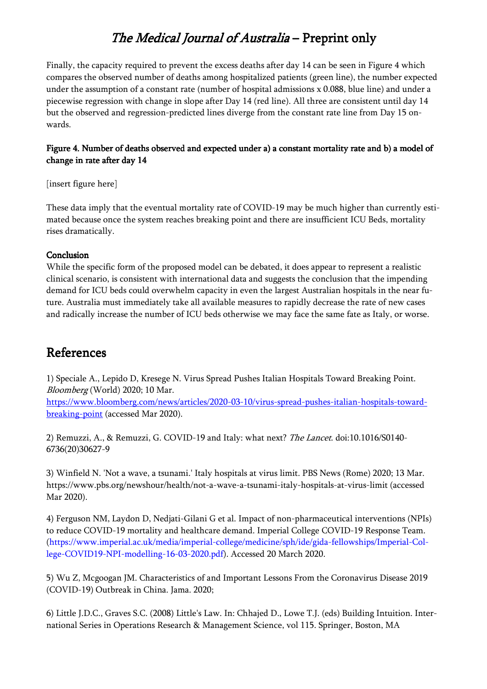Finally, the capacity required to prevent the excess deaths after day 14 can be seen in Figure 4 which compares the observed number of deaths among hospitalized patients (green line), the number expected under the assumption of a constant rate (number of hospital admissions x 0.088, blue line) and under a piecewise regression with change in slope after Day 14 (red line). All three are consistent until day 14 but the observed and regression-predicted lines diverge from the constant rate line from Day 15 onwards.

#### Figure 4. Number of deaths observed and expected under a) a constant mortality rate and b) a model of change in rate after day 14

[insert figure here]

These data imply that the eventual mortality rate of COVID-19 may be much higher than currently estimated because once the system reaches breaking point and there are insufficient ICU Beds, mortality rises dramatically.

#### Conclusion

While the specific form of the proposed model can be debated, it does appear to represent a realistic clinical scenario, is consistent with international data and suggests the conclusion that the impending demand for ICU beds could overwhelm capacity in even the largest Australian hospitals in the near future. Australia must immediately take all available measures to rapidly decrease the rate of new cases and radically increase the number of ICU beds otherwise we may face the same fate as Italy, or worse.

### References

1) Speciale A., Lepido D, Kresege N. Virus Spread Pushes Italian Hospitals Toward Breaking Point. Bloomberg (World) 2020; 10 Mar.

https://www.bloomberg.com/news/articles/2020-03-10/virus-spread-pushes-italian-hospitals-towardbreaking-point (accessed Mar 2020).

2) Remuzzi, A., & Remuzzi, G. COVID-19 and Italy: what next? The Lancet. doi:10.1016/S0140- 6736(20)30627-9

3) Winfield N. 'Not a wave, a tsunami.' Italy hospitals at virus limit. PBS News (Rome) 2020; 13 Mar. https://www.pbs.org/newshour/health/not-a-wave-a-tsunami-italy-hospitals-at-virus-limit (accessed Mar 2020).

4) Ferguson NM, Laydon D, Nedjati-Gilani G et al. Impact of non-pharmaceutical interventions (NPIs) to reduce COVID-19 mortality and healthcare demand. Imperial College COVID-19 Response Team. (https://www.imperial.ac.uk/media/imperial-college/medicine/sph/ide/gida-fellowships/Imperial-College-COVID19-NPI-modelling-16-03-2020.pdf). Accessed 20 March 2020.

5) Wu Z, Mcgoogan JM. Characteristics of and Important Lessons From the Coronavirus Disease 2019 (COVID-19) Outbreak in China. Jama. 2020;

6) Little J.D.C., Graves S.C. (2008) Little's Law. In: Chhajed D., Lowe T.J. (eds) Building Intuition. International Series in Operations Research & Management Science, vol 115. Springer, Boston, MA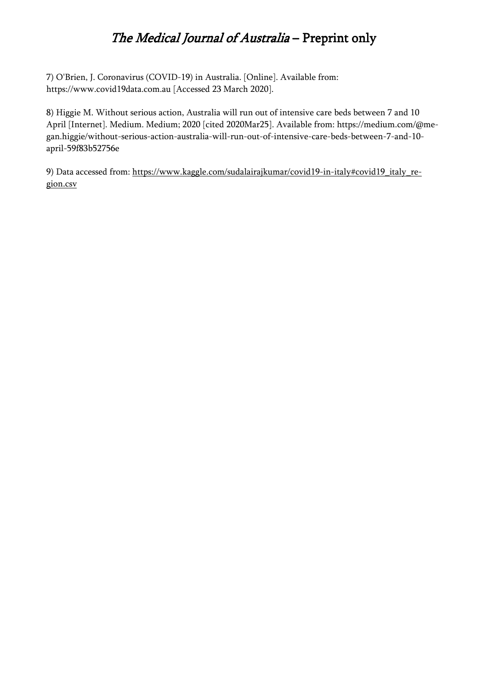7) O'Brien, J. Coronavirus (COVID-19) in Australia. [Online]. Available from: https://www.covid19data.com.au [Accessed 23 March 2020].

8) Higgie M. Without serious action, Australia will run out of intensive care beds between 7 and 10 April [Internet]. Medium. Medium; 2020 [cited 2020Mar25]. Available from: https://medium.com/@megan.higgie/without-serious-action-australia-will-run-out-of-intensive-care-beds-between-7-and-10 april-59f83b52756e

9) Data accessed from: https://www.kaggle.com/sudalairajkumar/covid19-in-italy#covid19\_italy\_region.csv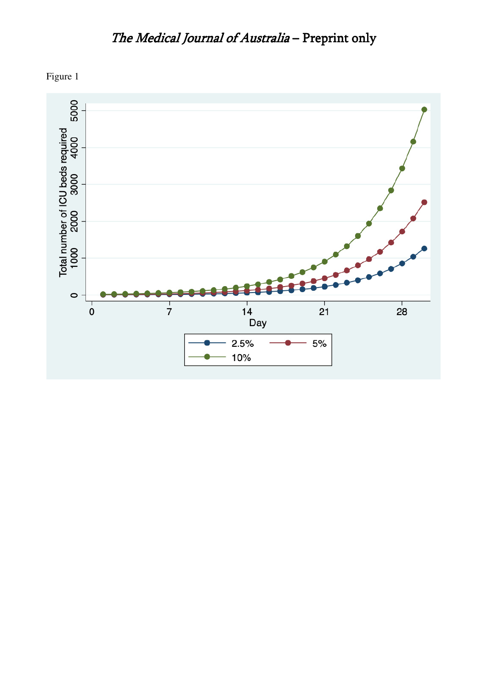

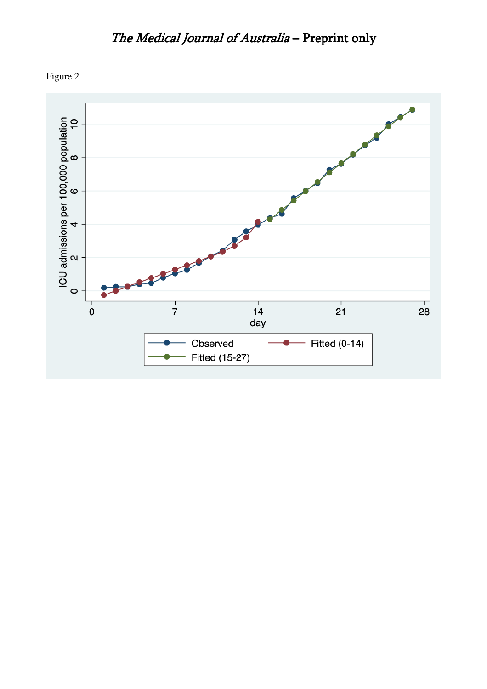

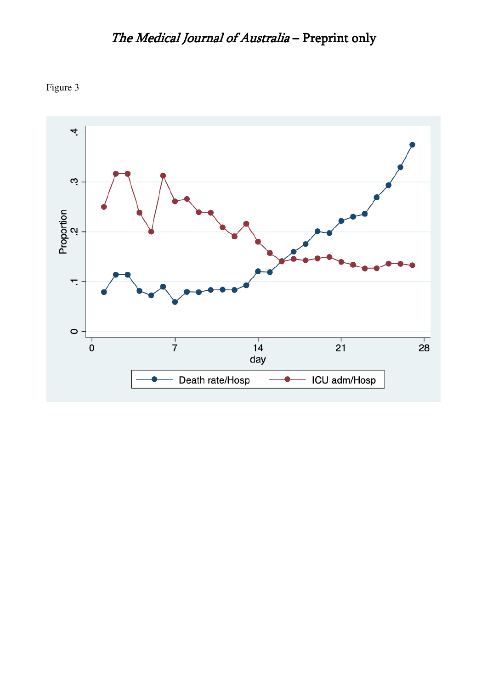